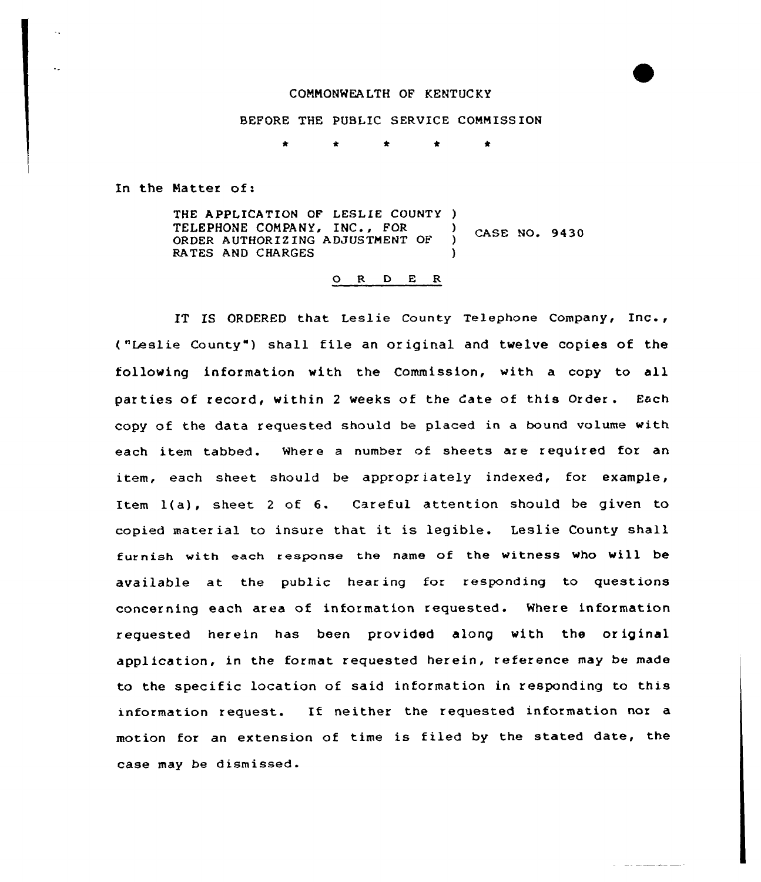## CONNQNWEALTH OF KENTUCKY

## BEFORE THE PUBLIC SERVICE COMMISSION

In the Matter of:

THE APPLICATION OF LESLIE COUNTY )<br>TELEPHONE COMPANY, INC., FOR IELEPHONE COMPANI, INC., FOR CASE NO. 9430 RATES AND CHARGES

## ORDER

IT IS ORDERED that Leslie County Telephone Company, Inc., ( "Leal ie County" ) shall file an or iginal and twelve copies of the following information with the Commission, with a copy to all par ties of record, within <sup>2</sup> weeks of the date of this Order . Each copy of the data requested should be placed in a bound volume with each item tabbed. Where a number of sheets are required for an item, each sheet should be appropriately indexed, for example, Item 1(a), sheet <sup>2</sup> of 6. Careful attention should be given to copied material to insure that it is legible. Leslie County shall furnish with each response the name of the witness who will be available at the public hearing for responding to questions concerning each area of information requested. Where information requested herein has been provided along with the or iginal application, in the format requested herein, reference may be made to the specific location of said information in responding to this information request. If neither the requested information nor a motion for an extension of time is filed by the stated date, the case may be dismissed.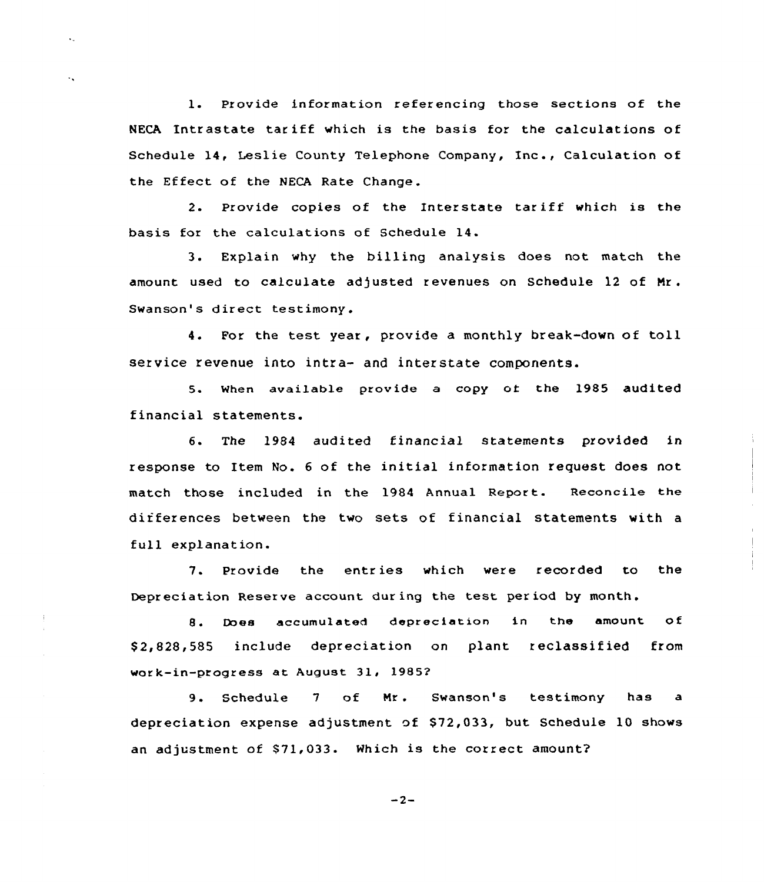1. Provide information referencing those sections of the NECA Intrastate tar iff which is the basis for the calculations of Schedule 14, Leslie County Telephone Company, Inc., Calculation of the Effeet of the NECA Rate Change.

 $\ddot{\phantom{a}}$ 

÷.

2. Provide copies of the Interstate tariff which is the basis for the calculations of Schedule 14.

3. Explain why the billing analysis does not match the amount used to calculate adjusted revenues on Schedule 12 of Mr. Swanson's direct testimony.

4. For the test year, provide <sup>a</sup> monthly break-down of toll service revenue into intra- and interstate components.

5. When available provide a copy of the 1985 audited financial statements.

6. The 1984 audited financial statements provided in response to Item No. <sup>6</sup> of the initial information request does not match those included in the 1984 Annual Report. Reconcile the differences between the two sets of financial statements with a full explanation.

7. Provide the entries which were recorded to the Depreciation Reserve account during the test period by month.

8. Does accumulated depreciation in the amount of \$ 2,828,585 include depreciation on plant reclassified from work-in-progress at August 31, 19852

9. Schedule 7 of Mr. Swanson's testimony has a depreciation expense adjustment of \$72,033, but Schedule 10 shows an adjustment of \$71,033. Which is the correct amount?

 $-2-$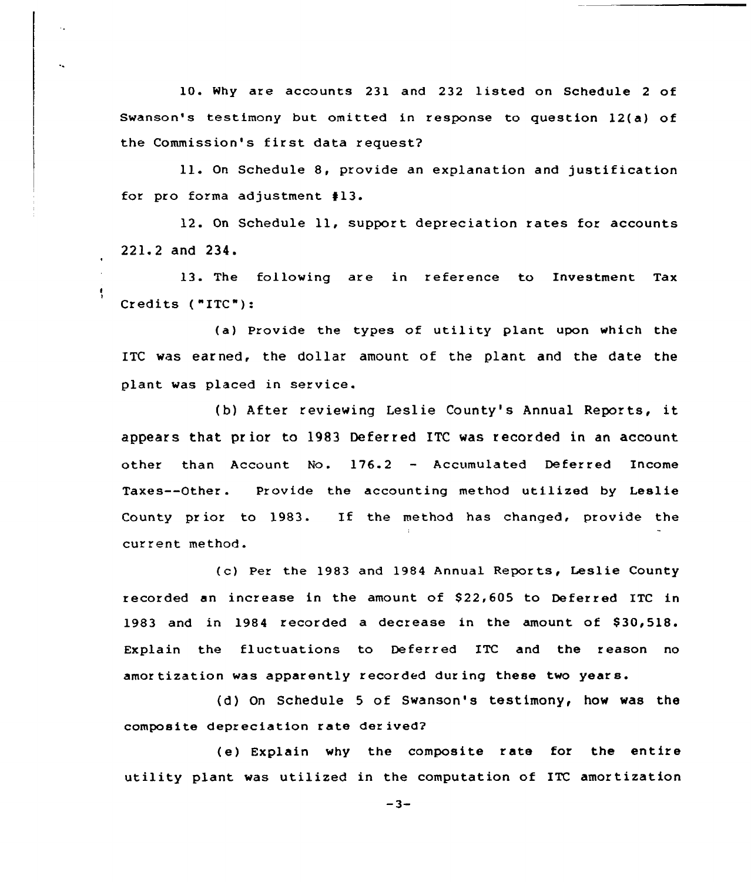10. Why are accounts 231 and 232 listed on Schedule <sup>2</sup> of Swanson's testimony but omitted in response to question 12(a) of the Commission's first data request?

ll. On Schedule 8, provide an explanation and justif ication for pro forma adjustment #13.

12. On Schedule 11, support depreciation rates for accounts 221.2 and 234.

13. The following are in reference to Investment Tax Credits ("ITC"):

(a) Provide the types of utility plant upon which the ITC was earned, the dollar amount of the plant and the date the plant was placed in service.

(b) After reviewing Leslie County's Annual Reports, it appears that prior to 1983 Deferred ITC was recorded in an account other than Account No. 176.2 — Accumulated Deferred Income Taxes--Other. Provide the accounting method utilized by Leslie County prior to l983. If the method has changed, provide the current method.

(c) Per the 1983 and 1984 Annual Reports, Leslie County recorded an increase in the amount of \$22,605 to Deferred ITC in 1983 and in 1984 recorded a decrease in the amount of \$30,518. Explain the fluctuations to Deferred ITC and the reason no amortization was apparently recorded during these two years.

(d) On Schedule <sup>5</sup> of Swanson's testimony, how was the composite depreciation rate derived?

(e) Explain why the composite rate for the entire utility plant was utilized in the computation of ITC amortization

 $-3-$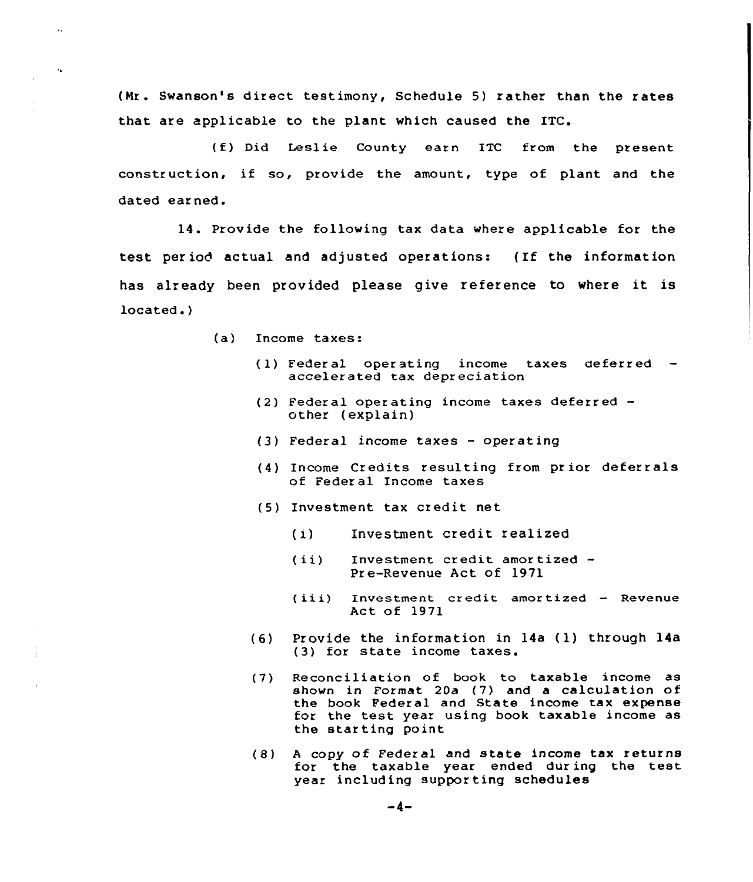(Nr. Swanson's direct testimony, Schedule 5) rather than the rates that are applicable to the plant which caused the ITC.

(f) Did Leslie County earn ITC from the present construction, if so, provide the amount, type of plant and the dated earned.

14. Provide the following tax data where applicable for the test period actual and adjusted operations: {If the information has already been provided please give reference to where it is located. )

- (a) Income taxes:
	- (1) Federal operating income taxes deferred  $-$  accelerated tax depreciation
	- (2) Federal operating income taxes deferred other ( explain)
	- (3) Federal income taxes operating
	- (4) Income Credits resulting from prior deferrals of Feder al Income taxes
	- (5) Investment tax credit net
		- (i) Investment credit realized
		- (ii) Investment credit amortized -Pre-Revenue Act of 1971
		- (iii) Investment credit amortized Revenue Act of 1971
	- (6) Provide the information in 14a (1) through 14a (3) for state income taxes.
	- (7) Reconciliation of book to taxable income as shown in Format 20a (7) and a calculation of the book Federal and State income tax expense for the test year using book taxable income as the starting point
	- (S) <sup>A</sup> copy of Federal and state income tax returns for the taxable year ended during the test year including supporting schedules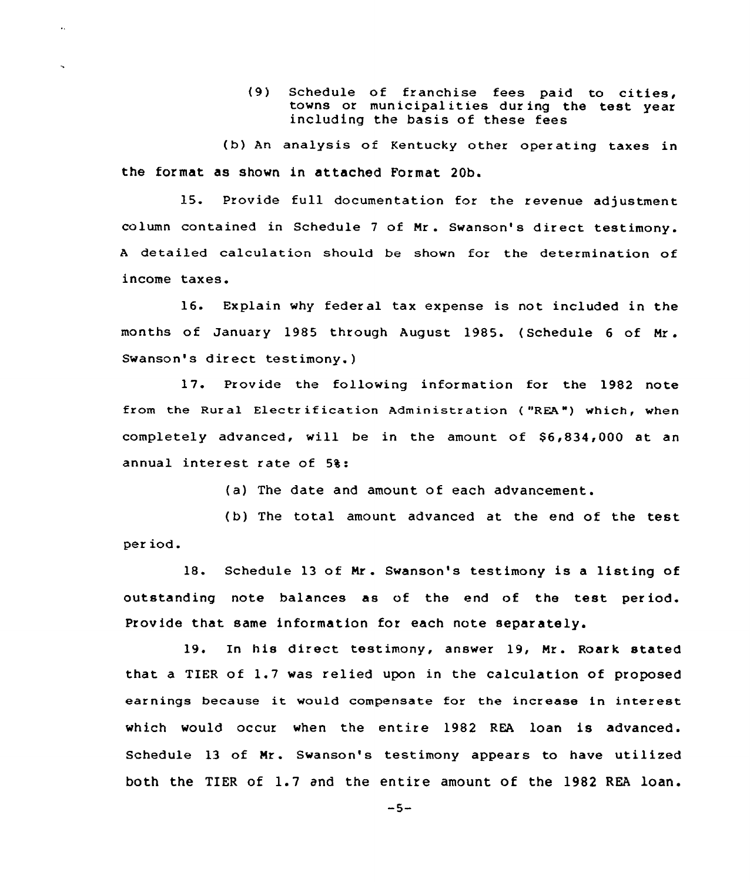(9) Schedule of franchise fees paid to cities, towns or municipalities dur ing the test year including the basis of these fees

(b) An analysis of Kentucky other oper ating taxes in the format as shown in attached Format 20b.

15. Provide full documentation for the revenue adjustment column contained in Schedule <sup>7</sup> of Nr. Swanson's direct testimony. <sup>A</sup> detailed calculation should be shown for the determination of income taxes.

16. Explain why federal tax expense is not included in the months of January <sup>1985</sup> through August 1985. ( Schedule <sup>6</sup> of Nr . Swanson's direct testimony. )

17. Provide the following information for the 1982 note from the Rural Electrification Administration ("REA") which, whe completely advanced, will be in the amount of  $$6,834,000$  at an annual interest rate of 5%:

(a) The date and amount of each advancement.

(b) The total amount advanced at the end of the test per iod.

18. Schedule <sup>13</sup> of Nr . Swanson's testimony is <sup>a</sup> listing of outstanding note balances as of the end of the test period. Provide that same information for each note separately.

19. In his direct testimony, answer 19, Nr. Roark stated that a TIER of 1.7 was relied upon in the calculation of proposed earnings because it would compensate for the increase in interest which would occur when the entire 1982 REA loan is advanced. Schedule 13 of Nr. Swanson's testimony appears to have utilized both the TIER of 1.7 and the entire amount of the 1982 REA loan.

 $-5-$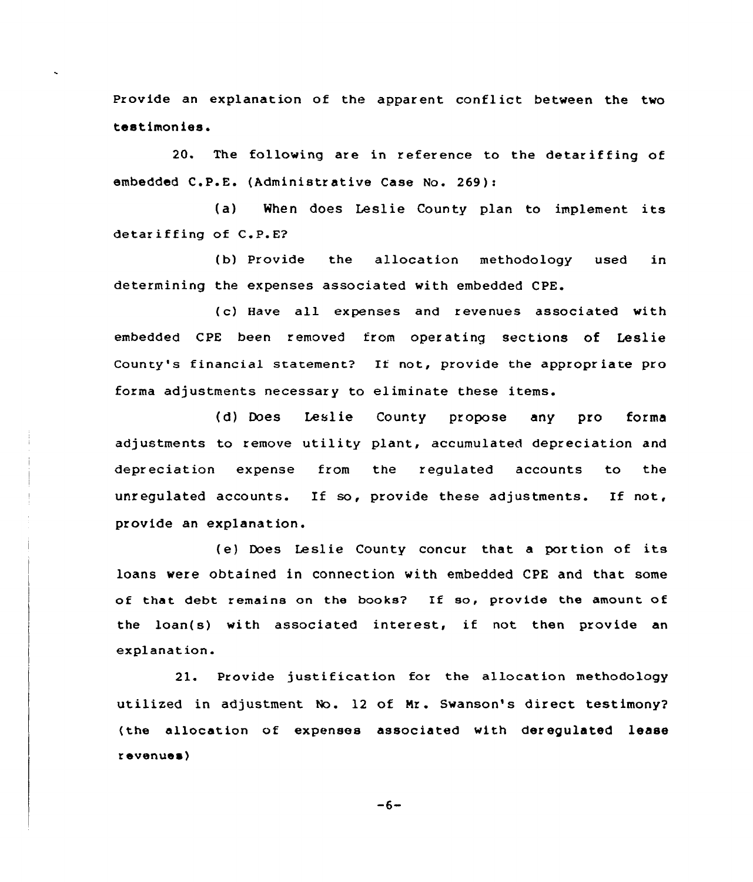Provide an explanation of the apparent conflict between the two testimonies.

20. The following are in reference to the detariffing of embedded C.P.E. (Administrative Case No. 269):

(a) When does Leslie County plan to implement its detariffing of C.P.E?

(b) Provide the allocation methodology used in determining the expenses associated with embedded CPE.

(c) Have all expenses and revenues associated with embedded CPE been removed from operating sections of Leslie County's financial statement? If not, provide the appropriate pro forma adjustments necessary to eliminate these items.

(d) Does Leslie County propose any pro forma adjustments to remove utility plant, accumulated depreciation and depreciation expense from the regulated accounts to the unregulated accounts. If so, provide these adjustments. If not, provide an explanation.

(e} Does Leslie County concur that <sup>a</sup> portion of its loans were obtained in connection with embedded CPE and that some of that debt remains on the books? If so, provide the amount of the loan(s) with associated interest, if not then provide an explanation.

21. Provide justification for the allocation methodology utilized in adjustment No. l2 of Mr. Swanson's direct testimony? (the allocation of expenses associated with deregulated lease revenues)

 $-6-$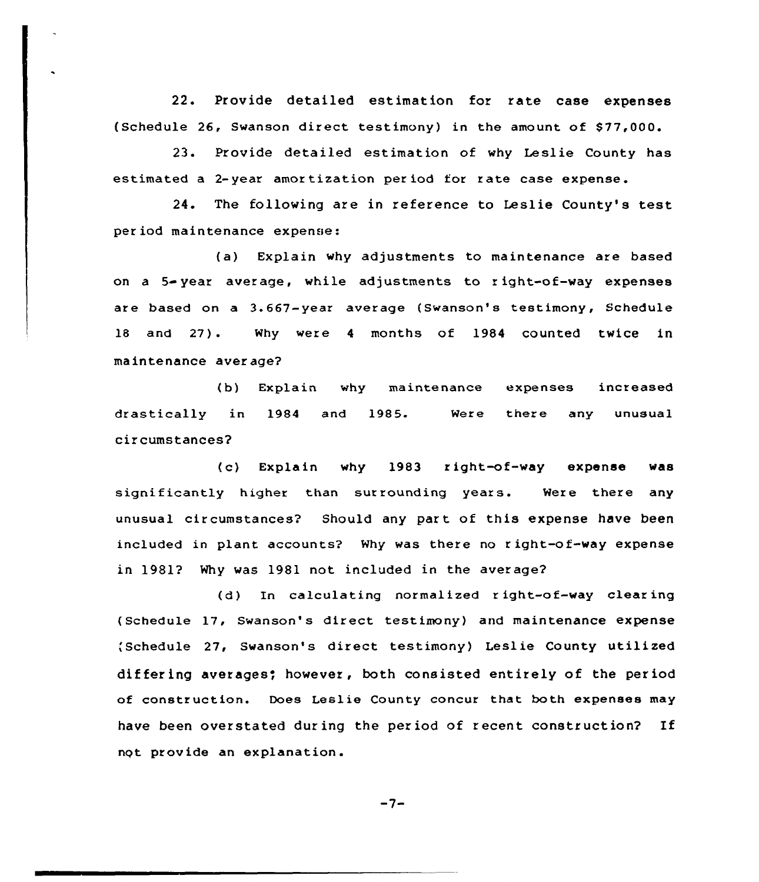22. Provide detailed estimation for rate case expenses (Schedule 26, Swanson direct testimony) in the amount of \$77,000.

23. Provide detailed estimation of why Leslie County has estimated a 2-year amortization period for rate case expense.

24. The following are in reference to Leslie County's test. period maintenance expense:

(a) Explain why adjustments tc maintenance are based on a  $5 - year$  average, while adjustments to right-of-way expenses are based on a 3.667-year average (Swanson's testimony, Schedule 18 and 27). Why were <sup>4</sup> months of 1984 counted twice in maintenance average?

(b) Explain why maintenance expenses increased drastically in 1984 and 1985. circumstances? Were there any unusual

(c) Explain why 1983 right of-way expense was significantly higher than surrounding years. Were there any unusual circumstances? Should any part of this expense have been included in plant accounts? Why was there no right-of-way expense in 1981? Why was 1981 not included in the average?

(d) In calculating normalized <sup>r</sup> ight-of-way clear ing (Schedule 17, Swanson's direct testimony) and maintenance expense ;Schedule 27, Swanson's direct testimony) Leslie County utilized differing averages; however, both consisted entirely of the period of construction. Does Leslie County concur that both expenses may have been overstated during the period of recent construction? If nqt provide an explanation.

 $-7-$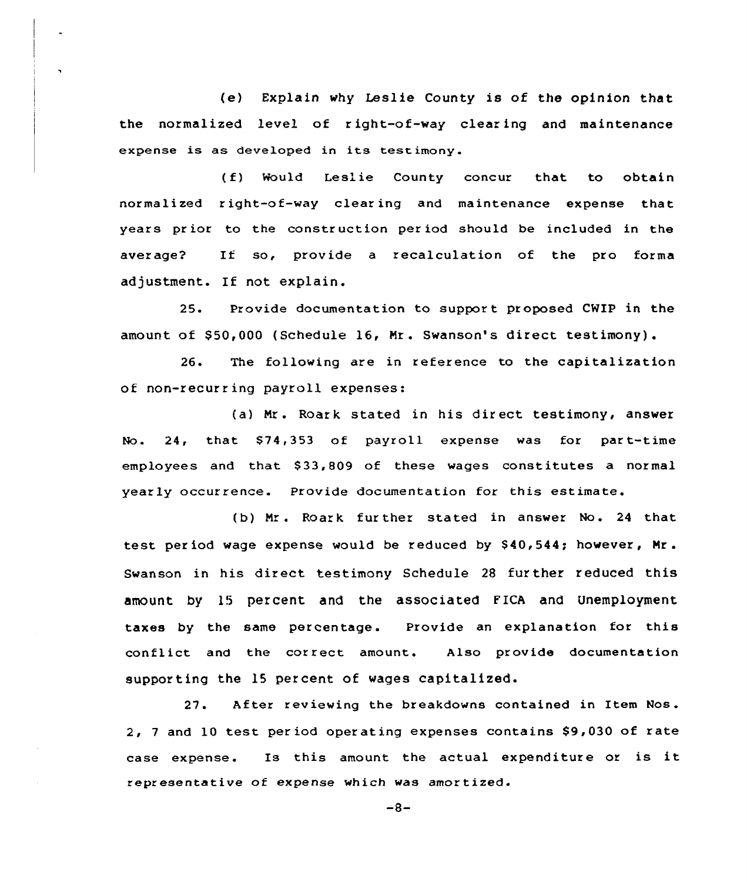(e) Explain why Leslie County is of the opinion that the normalized level of r ight-of-way clear ing and maintenance expense is as developed in its test imony.

(f) Would Leslie County concur that to obtain normalized right-of-way clear ing and maintenance expense that years prior to the construction period should be included in the aver age? If so, provide <sup>a</sup> recalculation of the pro forma adjustment. If not explain.

25. Provide documentation to support proposed CWIP in the amount of 950,000 (Schedule 16, Mr. Swanson's direct testimony).

26. The following are in reference to the capitalization of non-recurring payroll expenses:

(a) Mr. Roark stated in his direct testimony, answer No. 24, that \$74,353 of payroll expense was for part-time employees and that 833,809 of these wages constitutes a normal yearly occurrence. Provide documentation for this estimate.

(b) Mr. Roark further stated in answer No. 24 that test period wage expense would be reduced by \$40,544; however, Mr. Swanson in his direct testimony Schedule <sup>28</sup> fur ther reduced this amount by 15 percent and the associated EICA and Unemployment taxes by the same percentage. Provide an explanation for this conflict and the correct amount. Also provide documentation supporting the 15 percent of wages capitalized.

27. After reviewing the breakdowns contained in Item Nos.  $2, 7$  and 10 test period operating expenses contains \$9,030 of rate case expense. Is this amount the actual expenditure or is it representative of expense which was amortized.

 $-8-$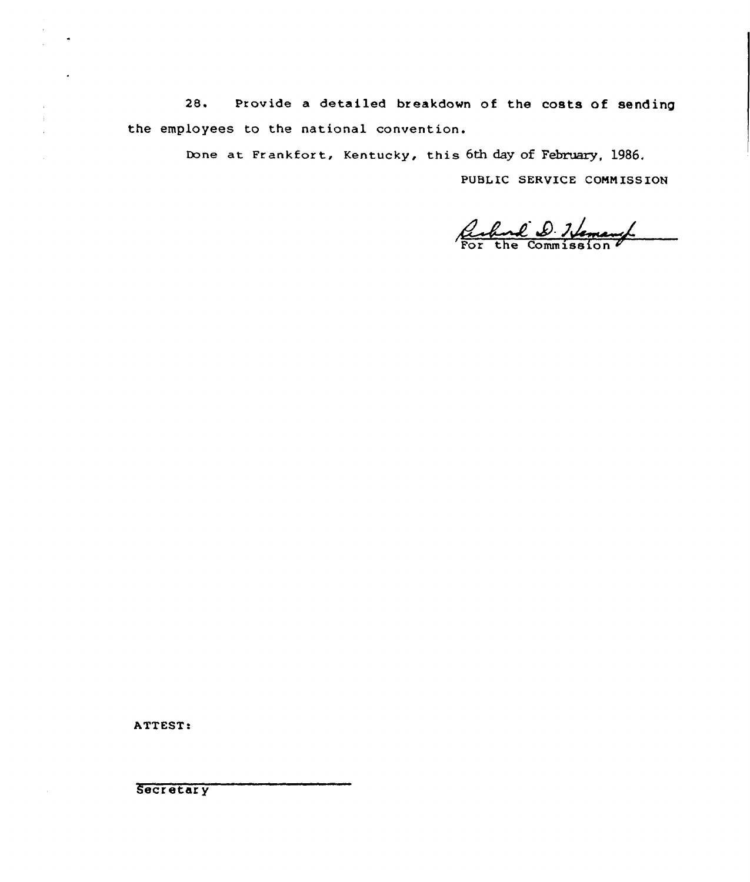Provide a detailed breakdown of the costs of sending  $28.$ the employees to the national convention.

Done at Frankfort, Kentucky, this 6th day of February, 1986.

PUBLIC SERVICE COMMISSION

Richard D. Nemang

ATTEST:

Secretary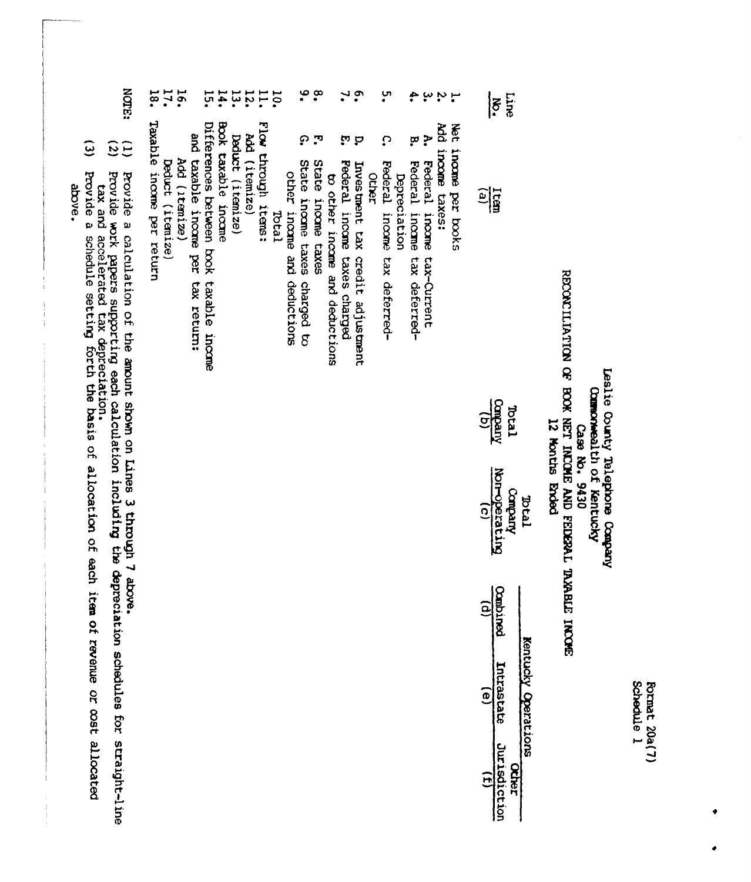| ţ |        |
|---|--------|
|   | Ę<br>٠ |
| ι |        |

## RECONLITED TOW OF BOOK NET INCOME AND FEDERAL TAXABLE INCOHERATION Leslie County Telephone Company Commonwealth of Kentucky 12 Months Ended Case No. 9430

|               | $\overline{\xi}$                  |  |
|---------------|-----------------------------------|--|
| $\frac{1}{2}$ |                                   |  |
|               | $\frac{1}{\tan \theta}$           |  |
|               | Total<br>Company<br>Mor-operating |  |
|               | $\frac{1}{\sqrt{2}}$              |  |
| Ф             |                                   |  |
|               | <b>Jurisdiction</b>               |  |

- Net income per books
- ب بہ ب<br>پان Add income taxes:
	- $\mathbf{r}$ Federal income tax-Current
- ဗ္ Federal income tax deferred-
- ِس<br>•  $\Omega$ Federal income tax deferred-Depreciation
- Other
- $\ddot{ }$ ن نه<br>ن Investment tax credit adjustment
- **Federal** income taxes charged
- $\frac{8}{1}$ J, State income taxes to other income and deductions
- င္ State income taxes charged to other income and deductions
- **10.** Total
- Flow through items:
- Add (itemize)
- $114.$ Deduct (itemize)
- Book taxable income
- $14.1$ Differences between book taxable income
- and taxable income per tax return:
- 16. Add (itemize)
- 17. Deduct (itemize)
- 18. Taxable income per return
- NOTE: Provide a calculation of the amount shown on Lines 3 through 7 above.
- $\frac{1}{3}$ Provide work papers supporting each calculation including the depreciation schedules for straight-line<br>tax and accelerated tax depreciation.<br>Provide a schedule setting forth the basis of allocation of each item of revenue
- $\overline{(\overline{z})}$

above.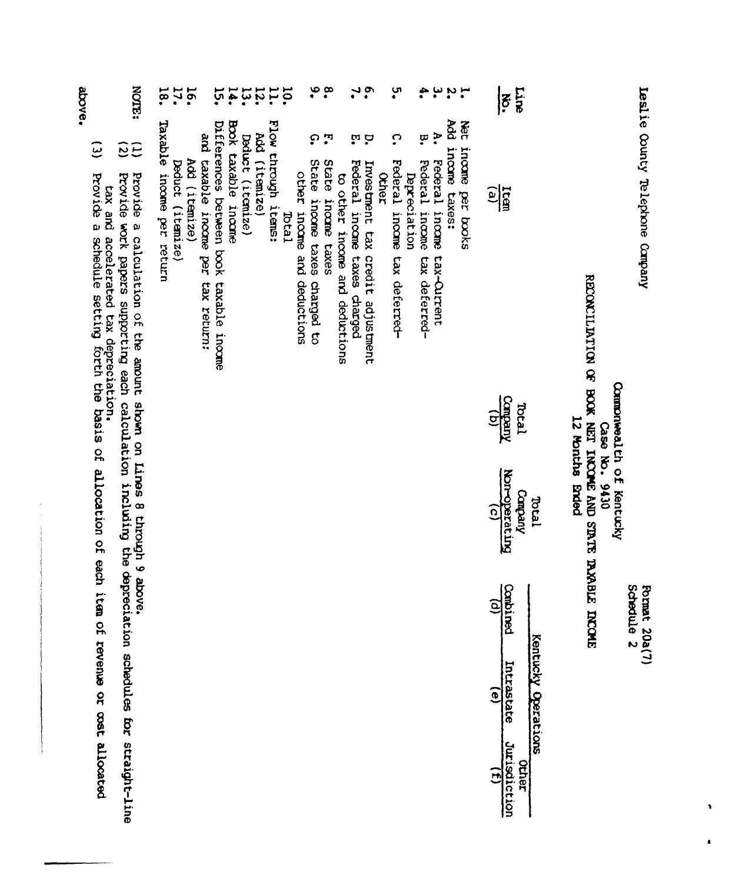|                           |                    | Leslie County Telephone Company                                  |                                         |                        |                                                                                                                                                                                 | Schedule <sub>2</sub><br>Format 20a(7) |                              |                       |
|---------------------------|--------------------|------------------------------------------------------------------|-----------------------------------------|------------------------|---------------------------------------------------------------------------------------------------------------------------------------------------------------------------------|----------------------------------------|------------------------------|-----------------------|
|                           |                    |                                                                  |                                         |                        | STREAM SLEW ON MOON LINCOME PUD SLEEP LEASER<br>Commonwealth of Kentucky<br>12 Months Bried<br>Case No. 9430                                                                    | <b>TKCME</b>                           |                              |                       |
|                           |                    |                                                                  |                                         |                        | Iabd                                                                                                                                                                            |                                        | Kentucky Operations          |                       |
| Line<br>$\overline{6}$    |                    |                                                                  |                                         | Company<br>Teran       | <b>Primate and Primate</b><br><b><i>Kuedwo</i></b>                                                                                                                              | Combii<br><b>Ded</b>                   | Intrastate                   | Jurisdiction<br>ocher |
|                           |                    | $\frac{1}{2}$                                                    |                                         | $\widehat{\mathbf{e}}$ | $\widehat{c}$                                                                                                                                                                   | $\widetilde{e}$                        | $\widehat{e}$                | $\widehat{E}$         |
|                           | <b>Met</b>         | income per books                                                 |                                         |                        |                                                                                                                                                                                 |                                        |                              |                       |
| r.                        | Ř                  | income taxes:                                                    |                                         |                        |                                                                                                                                                                                 |                                        |                              |                       |
| ÷.<br>یا                  | À.<br>ä            | Federal income tax-Ourrent<br>Pederal income                     | tax deferred-                           |                        |                                                                                                                                                                                 |                                        |                              |                       |
|                           |                    | Depreciation                                                     |                                         |                        |                                                                                                                                                                                 |                                        |                              |                       |
| ့က                        | ္                  | Federal income tax deferred-<br>Other                            |                                         |                        |                                                                                                                                                                                 |                                        |                              |                       |
| ໍ້.                       | ά.                 | Federal income taxes charged<br>Investment tax credit adjustment |                                         |                        |                                                                                                                                                                                 |                                        |                              |                       |
|                           |                    |                                                                  | to other income and deductions          |                        |                                                                                                                                                                                 |                                        |                              |                       |
| $\overset{\infty}{\cdot}$ | ŗ,                 | State<br>income taxes                                            |                                         |                        |                                                                                                                                                                                 |                                        |                              |                       |
|                           | ္                  | State                                                            | income taxes charged to                 |                        |                                                                                                                                                                                 |                                        |                              |                       |
|                           |                    | other income and deductions<br><b>Teral</b>                      |                                         |                        |                                                                                                                                                                                 |                                        |                              |                       |
| 10.<br>11.                |                    | Flow through items:                                              |                                         |                        |                                                                                                                                                                                 |                                        |                              |                       |
| 13.                       |                    | Add (itemize)                                                    |                                         |                        |                                                                                                                                                                                 |                                        |                              |                       |
|                           |                    | Deduct (itemize)                                                 |                                         |                        |                                                                                                                                                                                 |                                        |                              |                       |
| ìŚ.<br>14.                |                    | Book taxable income                                              | Differences between book taxable income |                        |                                                                                                                                                                                 |                                        |                              |                       |
|                           |                    | and taxable income per                                           | tax return;                             |                        |                                                                                                                                                                                 |                                        |                              |                       |
| 16.                       |                    | Add (itemize)                                                    |                                         |                        |                                                                                                                                                                                 |                                        |                              |                       |
| 17.                       |                    | Deduct (itemize)                                                 |                                         |                        |                                                                                                                                                                                 |                                        |                              |                       |
| 18.                       |                    | Taxable income per return                                        |                                         |                        |                                                                                                                                                                                 |                                        |                              |                       |
| <b>NOME:</b>              | ξČ                 |                                                                  |                                         |                        | Provide a calculation of the amount shown on Lines 8 through 9 above.<br>Provide work papers supporting each calculation including the depreciation schedules for straight-line |                                        |                              |                       |
|                           | $\widehat{\omega}$ |                                                                  | tax and accelerated tax depreciation.   |                        | Provide a schedule setting forth the basis of allocation of each item                                                                                                           |                                        | of revenue or cost allocated |                       |
| above.                    |                    |                                                                  |                                         |                        |                                                                                                                                                                                 |                                        |                              |                       |

 $\bullet$